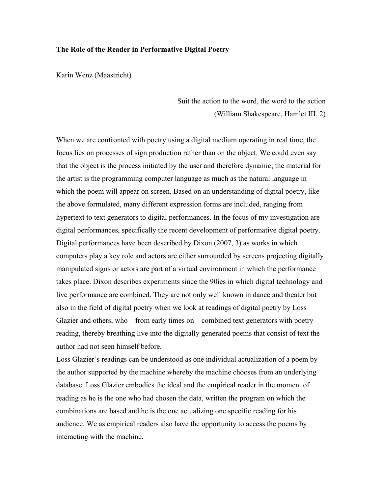## **The Role of the Reader in Performative Digital Poetry**

Karin Wenz (Maastricht)

Suit the action to the word, the word to the action (William Shakespeare, Hamlet III, 2)

When we are confronted with poetry using a digital medium operating in real time, the focus lies on processes of sign production rather than on the object. We could even say that the object is the process initiated by the user and therefore dynamic; the material for the artist is the programming computer language as much as the natural language in which the poem will appear on screen. Based on an understanding of digital poetry, like the above formulated, many different expression forms are included, ranging from hypertext to text generators to digital performances. In the focus of my investigation are digital performances, specifically the recent development of performative digital poetry. Digital performances have been described by Dixon (2007, 3) as works in which computers play a key role and actors are either surrounded by screens projecting digitally manipulated signs or actors are part of a virtual environment in which the performance takes place. Dixon describes experiments since the 90ies in which digital technology and live performance are combined. They are not only well known in dance and theater but also in the field of digital poetry when we look at readings of digital poetry by Loss Glazier and others, who – from early times on – combined text generators with poetry reading, thereby breathing live into the digitally generated poems that consist of text the author had not seen himself before.

Loss Glazier's readings can be understood as one individual actualization of a poem by the author supported by the machine whereby the machine chooses from an underlying database. Loss Glazier embodies the ideal and the empirical reader in the moment of reading as he is the one who had chosen the data, written the program on which the combinations are based and he is the one actualizing one specific reading for his audience. We as empirical readers also have the opportunity to access the poems by interacting with the machine.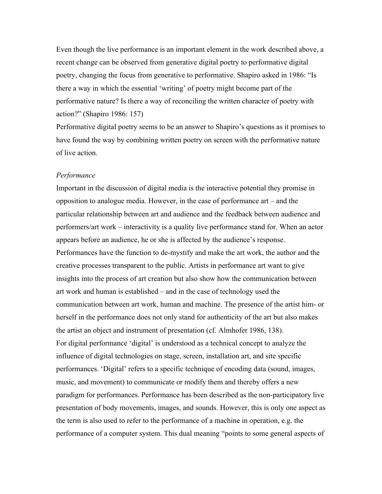Even though the live performance is an important element in the work described above, a recent change can be observed from generative digital poetry to performative digital poetry, changing the focus from generative to performative. Shapiro asked in 1986: "Is there a way in which the essential 'writing' of poetry might become part of the performative nature? Is there a way of reconciling the written character of poetry with action?" (Shapiro 1986: 157)

Performative digital poetry seems to be an answer to Shapiro's questions as it promises to have found the way by combining written poetry on screen with the performative nature of live action.

#### *Performance*

Important in the discussion of digital media is the interactive potential they promise in opposition to analogue media. However, in the case of performance art – and the particular relationship between art and audience and the feedback between audience and performers/art work – interactivity is a quality live performance stand for. When an actor appears before an audience, he or she is affected by the audience's response. Performances have the function to de-mystify and make the art work, the author and the creative processes transparent to the public. Artists in performance art want to give insights into the process of art creation but also show how the communication between art work and human is established – and in the case of technology used the communication between art work, human and machine. The presence of the artist him- or herself in the performance does not only stand for authenticity of the art but also makes the artist an object and instrument of presentation (cf. Almhofer 1986, 138). For digital performance 'digital' is understood as a technical concept to analyze the influence of digital technologies on stage, screen, installation art, and site specific performances. 'Digital' refers to a specific technique of encoding data (sound, images, music, and movement) to communicate or modify them and thereby offers a new paradigm for performances. Performance has been described as the non-participatory live presentation of body movements, images, and sounds. However, this is only one aspect as the term is also used to refer to the performance of a machine in operation, e.g. the performance of a computer system. This dual meaning "points to some general aspects of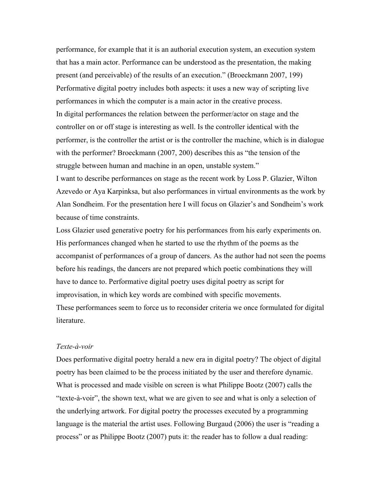performance, for example that it is an authorial execution system, an execution system that has a main actor. Performance can be understood as the presentation, the making present (and perceivable) of the results of an execution." (Broeckmann 2007, 199) Performative digital poetry includes both aspects: it uses a new way of scripting live performances in which the computer is a main actor in the creative process. In digital performances the relation between the performer/actor on stage and the controller on or off stage is interesting as well. Is the controller identical with the performer, is the controller the artist or is the controller the machine, which is in dialogue with the performer? Broeckmann (2007, 200) describes this as "the tension of the struggle between human and machine in an open, unstable system."

I want to describe performances on stage as the recent work by Loss P. Glazier, Wilton Azevedo or Aya Karpinksa, but also performances in virtual environments as the work by Alan Sondheim. For the presentation here I will focus on Glazier's and Sondheim's work because of time constraints.

Loss Glazier used generative poetry for his performances from his early experiments on. His performances changed when he started to use the rhythm of the poems as the accompanist of performances of a group of dancers. As the author had not seen the poems before his readings, the dancers are not prepared which poetic combinations they will have to dance to. Performative digital poetry uses digital poetry as script for improvisation, in which key words are combined with specific movements. These performances seem to force us to reconsider criteria we once formulated for digital literature.

### *Texte-à-voir*

Does performative digital poetry herald a new era in digital poetry? The object of digital poetry has been claimed to be the process initiated by the user and therefore dynamic. What is processed and made visible on screen is what Philippe Bootz (2007) calls the "texte-à-voir", the shown text, what we are given to see and what is only a selection of the underlying artwork. For digital poetry the processes executed by a programming language is the material the artist uses. Following Burgaud (2006) the user is "reading a process" or as Philippe Bootz (2007) puts it: the reader has to follow a dual reading: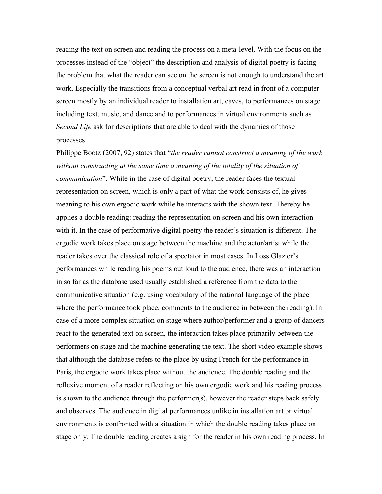reading the text on screen and reading the process on a meta-level. With the focus on the processes instead of the "object" the description and analysis of digital poetry is facing the problem that what the reader can see on the screen is not enough to understand the art work. Especially the transitions from a conceptual verbal art read in front of a computer screen mostly by an individual reader to installation art, caves, to performances on stage including text, music, and dance and to performances in virtual environments such as *Second Life* ask for descriptions that are able to deal with the dynamics of those processes.

Philippe Bootz (2007, 92) states that "*the reader cannot construct a meaning of the work without constructing at the same time a meaning of the totality of the situation of communication*". While in the case of digital poetry, the reader faces the textual representation on screen, which is only a part of what the work consists of, he gives meaning to his own ergodic work while he interacts with the shown text. Thereby he applies a double reading: reading the representation on screen and his own interaction with it. In the case of performative digital poetry the reader's situation is different. The ergodic work takes place on stage between the machine and the actor/artist while the reader takes over the classical role of a spectator in most cases. In Loss Glazier's performances while reading his poems out loud to the audience, there was an interaction in so far as the database used usually established a reference from the data to the communicative situation (e.g. using vocabulary of the national language of the place where the performance took place, comments to the audience in between the reading). In case of a more complex situation on stage where author/performer and a group of dancers react to the generated text on screen, the interaction takes place primarily between the performers on stage and the machine generating the text. The short video example shows that although the database refers to the place by using French for the performance in Paris, the ergodic work takes place without the audience. The double reading and the reflexive moment of a reader reflecting on his own ergodic work and his reading process is shown to the audience through the performer(s), however the reader steps back safely and observes. The audience in digital performances unlike in installation art or virtual environments is confronted with a situation in which the double reading takes place on stage only. The double reading creates a sign for the reader in his own reading process. In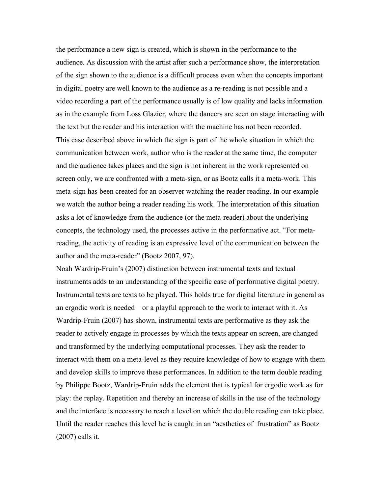the performance a new sign is created, which is shown in the performance to the audience. As discussion with the artist after such a performance show, the interpretation of the sign shown to the audience is a difficult process even when the concepts important in digital poetry are well known to the audience as a re-reading is not possible and a video recording a part of the performance usually is of low quality and lacks information as in the example from Loss Glazier, where the dancers are seen on stage interacting with the text but the reader and his interaction with the machine has not been recorded. This case described above in which the sign is part of the whole situation in which the communication between work, author who is the reader at the same time, the computer and the audience takes places and the sign is not inherent in the work represented on screen only, we are confronted with a meta-sign, or as Bootz calls it a meta-work. This meta-sign has been created for an observer watching the reader reading. In our example we watch the author being a reader reading his work. The interpretation of this situation asks a lot of knowledge from the audience (or the meta-reader) about the underlying concepts, the technology used, the processes active in the performative act. "For metareading, the activity of reading is an expressive level of the communication between the author and the meta-reader" (Bootz 2007, 97).

Noah Wardrip-Fruin's (2007) distinction between instrumental texts and textual instruments adds to an understanding of the specific case of performative digital poetry. Instrumental texts are texts to be played. This holds true for digital literature in general as an ergodic work is needed – or a playful approach to the work to interact with it. As Wardrip-Fruin (2007) has shown, instrumental texts are performative as they ask the reader to actively engage in processes by which the texts appear on screen, are changed and transformed by the underlying computational processes. They ask the reader to interact with them on a meta-level as they require knowledge of how to engage with them and develop skills to improve these performances. In addition to the term double reading by Philippe Bootz, Wardrip-Fruin adds the element that is typical for ergodic work as for play: the replay. Repetition and thereby an increase of skills in the use of the technology and the interface is necessary to reach a level on which the double reading can take place. Until the reader reaches this level he is caught in an "aesthetics of frustration" as Bootz (2007) calls it.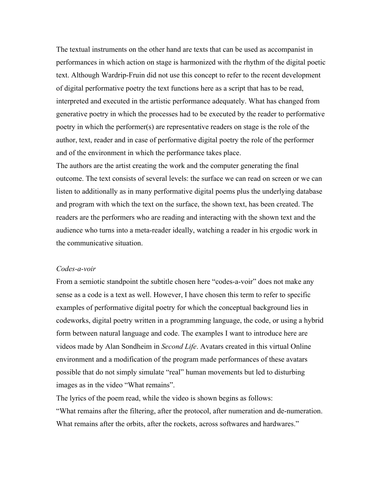The textual instruments on the other hand are texts that can be used as accompanist in performances in which action on stage is harmonized with the rhythm of the digital poetic text. Although Wardrip-Fruin did not use this concept to refer to the recent development of digital performative poetry the text functions here as a script that has to be read, interpreted and executed in the artistic performance adequately. What has changed from generative poetry in which the processes had to be executed by the reader to performative poetry in which the performer(s) are representative readers on stage is the role of the author, text, reader and in case of performative digital poetry the role of the performer and of the environment in which the performance takes place.

The authors are the artist creating the work and the computer generating the final outcome. The text consists of several levels: the surface we can read on screen or we can listen to additionally as in many performative digital poems plus the underlying database and program with which the text on the surface, the shown text, has been created. The readers are the performers who are reading and interacting with the shown text and the audience who turns into a meta-reader ideally, watching a reader in his ergodic work in the communicative situation.

### *Codes-a-voir*

From a semiotic standpoint the subtitle chosen here "codes-a-voir" does not make any sense as a code is a text as well. However, I have chosen this term to refer to specific examples of performative digital poetry for which the conceptual background lies in codeworks, digital poetry written in a programming language, the code, or using a hybrid form between natural language and code. The examples I want to introduce here are videos made by Alan Sondheim in *Second Life*. Avatars created in this virtual Online environment and a modification of the program made performances of these avatars possible that do not simply simulate "real" human movements but led to disturbing images as in the video "What remains".

The lyrics of the poem read, while the video is shown begins as follows: "What remains after the filtering, after the protocol, after numeration and de-numeration. What remains after the orbits, after the rockets, across softwares and hardwares."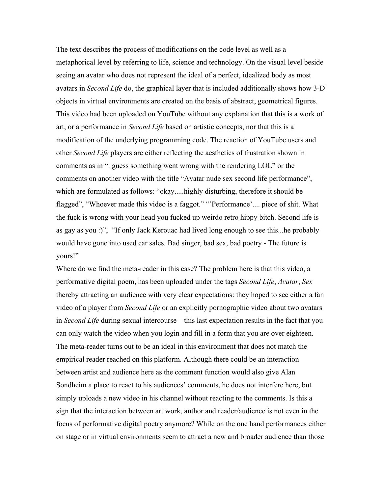The text describes the process of modifications on the code level as well as a metaphorical level by referring to life, science and technology. On the visual level beside seeing an avatar who does not represent the ideal of a perfect, idealized body as most avatars in *Second Life* do, the graphical layer that is included additionally shows how 3-D objects in virtual environments are created on the basis of abstract, geometrical figures. This video had been uploaded on YouTube without any explanation that this is a work of art, or a performance in *Second Life* based on artistic concepts, nor that this is a modification of the underlying programming code. The reaction of YouTube users and other *Second Life* players are either reflecting the aesthetics of frustration shown in comments as in "i guess something went wrong with the rendering LOL" or the comments on another video with the title "Avatar nude sex second life performance", which are formulated as follows: "okay.....highly disturbing, therefore it should be flagged", "Whoever made this video is a faggot." "'Performance'.... piece of shit. What the fuck is wrong with your head you fucked up weirdo retro hippy bitch. Second life is as gay as you :)", "If only Jack Kerouac had lived long enough to see this...he probably would have gone into used car sales. Bad singer, bad sex, bad poetry - The future is yours!"

Where do we find the meta-reader in this case? The problem here is that this video, a performative digital poem, has been uploaded under the tags *Second Life*, *Avatar*, *Sex* thereby attracting an audience with very clear expectations: they hoped to see either a fan video of a player from *Second Life* or an explicitly pornographic video about two avatars in *Second Life* during sexual intercourse – this last expectation results in the fact that you can only watch the video when you login and fill in a form that you are over eighteen. The meta-reader turns out to be an ideal in this environment that does not match the empirical reader reached on this platform. Although there could be an interaction between artist and audience here as the comment function would also give Alan Sondheim a place to react to his audiences' comments, he does not interfere here, but simply uploads a new video in his channel without reacting to the comments. Is this a sign that the interaction between art work, author and reader/audience is not even in the focus of performative digital poetry anymore? While on the one hand performances either on stage or in virtual environments seem to attract a new and broader audience than those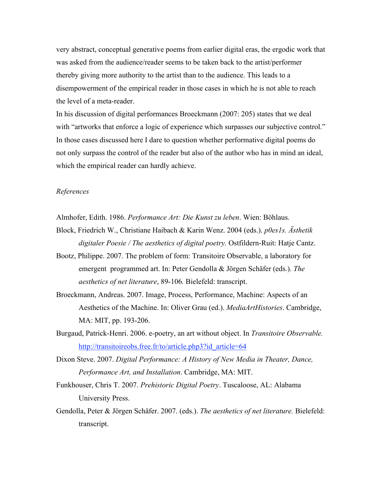very abstract, conceptual generative poems from earlier digital eras, the ergodic work that was asked from the audience/reader seems to be taken back to the artist/performer thereby giving more authority to the artist than to the audience. This leads to a disempowerment of the empirical reader in those cases in which he is not able to reach the level of a meta-reader.

In his discussion of digital performances Broeckmann (2007: 205) states that we deal with "artworks that enforce a logic of experience which surpasses our subjective control." In those cases discussed here I dare to question whether performative digital poems do not only surpass the control of the reader but also of the author who has in mind an ideal, which the empirical reader can hardly achieve.

# *References*

Almhofer, Edith. 1986. *Performance Art: Die Kunst zu leben*. Wien: Böhlaus.

- Block, Friedrich W., Christiane Haibach & Karin Wenz. 2004 (eds.). *p0es1s. Ästhetik digitaler Poesie / The aesthetics of digital poetry.* Ostfildern-Ruit: Hatje Cantz.
- Bootz, Philippe. 2007. The problem of form: Transitoire Observable, a laboratory for emergent programmed art. In: Peter Gendolla & Jörgen Schäfer (eds.). *The aesthetics of net literature*, 89-106*.* Bielefeld: transcript.
- Broeckmann, Andreas. 2007. Image, Process, Performance, Machine: Aspects of an Aesthetics of the Machine. In: Oliver Grau (ed.). *MediaArtHistories*. Cambridge, MA: MIT, pp. 193-206.
- Burgaud, Patrick-Henri. 2006. e-poetry, an art without object. In *Transitoire Observable.* http://transitoireobs.free.fr/to/article.php3?id\_article=64
- Dixon Steve. 2007. *Digital Performance: A History of New Media in Theater, Dance, Performance Art, and Installation*. Cambridge, MA: MIT.
- Funkhouser, Chris T. 2007. *Prehistoric Digital Poetry*. Tuscaloose, AL: Alabama University Press.
- Gendolla, Peter & Jörgen Schäfer. 2007. (eds.). *The aesthetics of net literature.* Bielefeld: transcript.